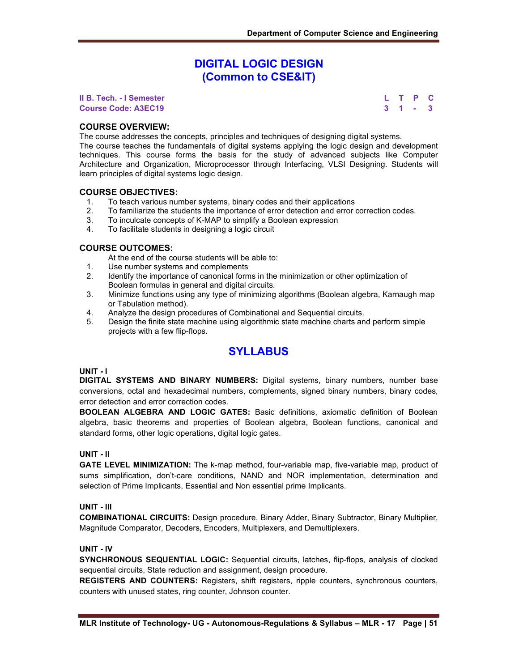# **DIGITAL LOGIC DESIGN (Common to CSE&IT)**

**II B. Tech. - I Semester Course Code: A3EC19 3 1 - 3**

| ı. |   | P | C |
|----|---|---|---|
| 3  | 1 |   | 3 |

### **COURSE OVERVIEW:**

The course addresses the concepts, principles and techniques of designing digital systems.

The course teaches the fundamentals of digital systems applying the logic design and development techniques. This course forms the basis for the study of advanced subjects like Computer Architecture and Organization, Microprocessor through Interfacing, VLSI Designing. Students will learn principles of digital systems logic design.

#### **COURSE OBJECTIVES:**

- 1. To teach various number systems, binary codes and their applications
- 2. To familiarize the students the importance of error detection and error correction codes.
- 3. To inculcate concepts of K-MAP to simplify a Boolean expression
- 4. To facilitate students in designing a logic circuit

#### **COURSE OUTCOMES:**

At the end of the course students will be able to:

- 1. Use number systems and complements
- 2. Identify the importance of canonical forms in the minimization or other optimization of Boolean formulas in general and digital circuits.
- 3. Minimize functions using any type of minimizing algorithms (Boolean algebra, Karnaugh map or Tabulation method).
- 4. Analyze the design procedures of Combinational and Sequential circuits.
- 5. Design the finite state machine using algorithmic state machine charts and perform simple projects with a few flip-flops.

# **SYLLABUS**

#### **UNIT - I**

**DIGITAL SYSTEMS AND BINARY NUMBERS:** Digital systems, binary numbers, number base conversions, octal and hexadecimal numbers, complements, signed binary numbers, binary codes, error detection and error correction codes.

**BOOLEAN ALGEBRA AND LOGIC GATES:** Basic definitions, axiomatic definition of Boolean algebra, basic theorems and properties of Boolean algebra, Boolean functions, canonical and standard forms, other logic operations, digital logic gates.

#### **UNIT - II**

**GATE LEVEL MINIMIZATION:** The k-map method, four-variable map, five-variable map, product of sums simplification, don't-care conditions, NAND and NOR implementation, determination and selection of Prime Implicants, Essential and Non essential prime Implicants.

#### **UNIT - III**

**COMBINATIONAL CIRCUITS:** Design procedure, Binary Adder, Binary Subtractor, Binary Multiplier, Magnitude Comparator, Decoders, Encoders, Multiplexers, and Demultiplexers.

#### **UNIT - IV**

**SYNCHRONOUS SEQUENTIAL LOGIC:** Sequential circuits, latches, flip-flops, analysis of clocked sequential circuits, State reduction and assignment, design procedure.

**REGISTERS AND COUNTERS:** Registers, shift registers, ripple counters, synchronous counters, counters with unused states, ring counter, Johnson counter.